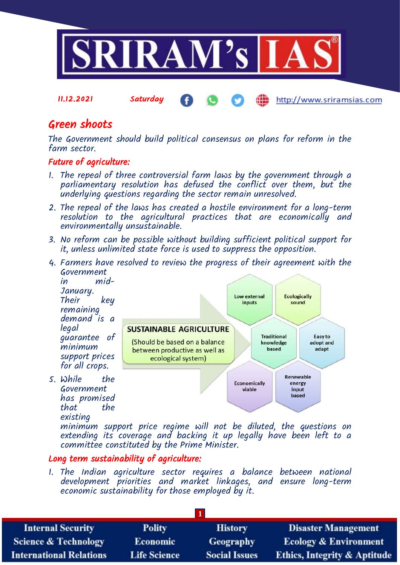

11.12.2021 Saturday http://www.sriramsias.com

# Green shoots

The Government should build political consensus on plans for reform in the farm sector.

# Future of agriculture:

- 1. The repeal of three controversial farm laws by the government through a parliamentary resolution has defused the conflict over them, but the underlying questions regarding the sector remain unresolved.
- 2. The repeal of the laws has created a hostile environment for a long-term resolution to the agricultural practices that are economically and environmentally unsustainable.
- 3. No reform can be possible without building sufficient political support for it, unless unlimited state force is used to suppress the opposition.
- 4. Farmers have resolved to review the progress of their agreement with the Government



minimum support price regime will not be diluted, the questions on extending its coverage and backing it up legally have been left to a committee constituted by the Prime Minister.

### Long term sustainability of agriculture:

1. The Indian agriculture sector requires a balance between national development priorities and market linkages, and ensure long-term economic sustainability for those employed by it.

| <b>Internal Security</b>        | <b>Polity</b>       | <b>History</b>       | <b>Disaster Management</b>              |
|---------------------------------|---------------------|----------------------|-----------------------------------------|
| <b>Science &amp; Technology</b> | <b>Economic</b>     | Geography            | <b>Ecology &amp; Environment</b>        |
| <b>International Relations</b>  | <b>Life Science</b> | <b>Social Issues</b> | <b>Ethics, Integrity &amp; Aptitude</b> |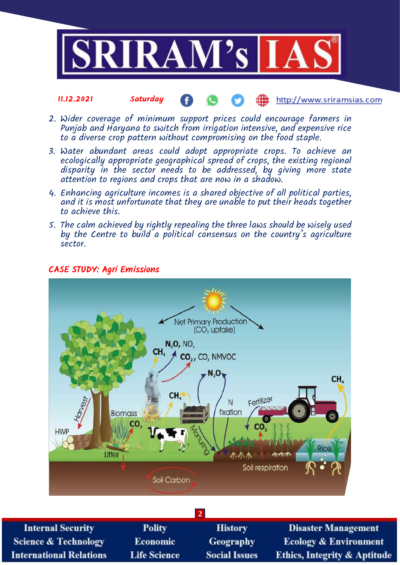

#### 11.12.2021 Saturday http://www.sriramsias.com

- 2. Wider coverage of minimum support prices could encourage farmers in Punjab and Haryana to switch from irrigation intensive, and expensive rice to a diverse crop pattern without compromising on the food staple.
- 3. Water abundant areas could adopt appropriate crops. To achieve an ecologically appropriate geographical spread of crops, the existing regional disparity in the sector needs to be addressed, by giving more state attention to regions and crops that are now in a shadow.
- 4. Enhancing agriculture incomes is a shared objective of all political parties, and it is most unfortunate that they are unable to put their heads together to achieve this.
- 5. The calm achieved by rightly repealing the three laws should be wisely used by the Centre to build a political consensus on the country's agriculture sector.



# CASE STUDY: Agri Emissions

**2 Internal Security Polity History Disaster Management Science & Technology** Economic Geography **Ecology & Environment Life Science International Relations Social Issues Ethics, Integrity & Aptitude**